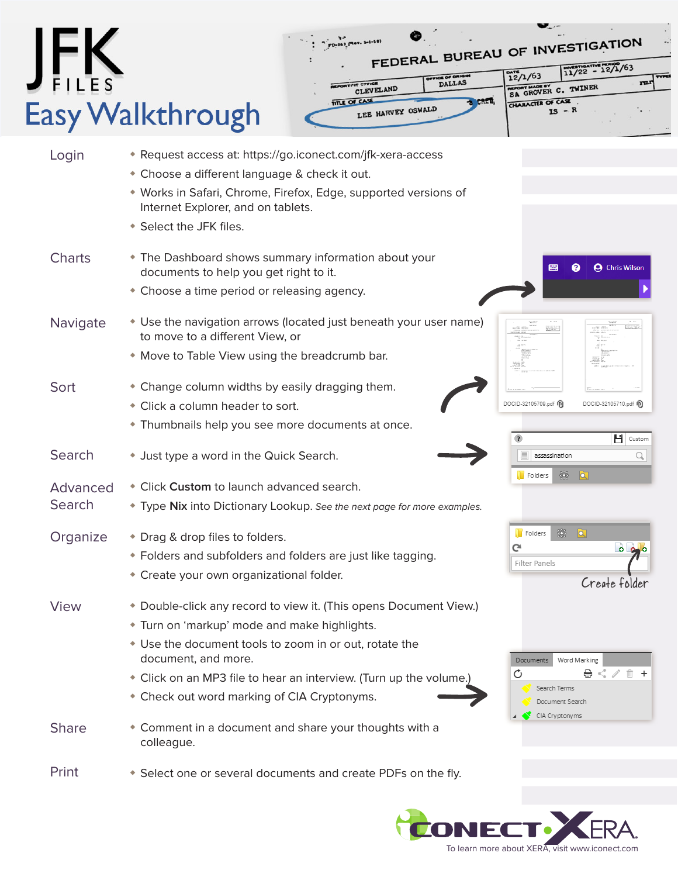## JFK Easy Walkthrough



| Login              | * Request access at: https://go.iconect.com/jfk-xera-access<br>• Choose a different language & check it out.<br>• Works in Safari, Chrome, Firefox, Edge, supported versions of<br>Internet Explorer, and on tablets.<br>* Select the JFK files.                                                                        |                                                                                                  |
|--------------------|-------------------------------------------------------------------------------------------------------------------------------------------------------------------------------------------------------------------------------------------------------------------------------------------------------------------------|--------------------------------------------------------------------------------------------------|
| <b>Charts</b>      | • The Dashboard shows summary information about your<br>documents to help you get right to it.<br>• Choose a time period or releasing agency.                                                                                                                                                                           | ี ค<br><b>A</b> Chris Wilson                                                                     |
| Navigate           | • Use the navigation arrows (located just beneath your user name)<br>to move to a different View, or<br>* Move to Table View using the breadcrumb bar.                                                                                                                                                                  |                                                                                                  |
| Sort               | • Change column widths by easily dragging them.<br>• Click a column header to sort.<br>* Thumbnails help you see more documents at once.                                                                                                                                                                                | DOCID-32105709.pdf m<br>DOCID-32105710.pdf (1)<br>$\Box$ Custom                                  |
| Search             | • Just type a word in the Quick Search.                                                                                                                                                                                                                                                                                 | Q<br>assassination                                                                               |
| Advanced<br>Search | Click Custom to launch advanced search.<br>* Type Nix into Dictionary Lookup. See the next page for more examples.                                                                                                                                                                                                      | 器<br>Folders<br>।वा                                                                              |
| Organize           | * Drag & drop files to folders.<br>◆ Folders and subfolders and folders are just like tagging.<br>• Create your own organizational folder.                                                                                                                                                                              | 爨<br>$\overline{\mathbf{a}}$<br>Folders<br>G<br>0 <sub>o</sub><br>Filter Panels<br>Create folder |
| <b>View</b>        | * Double-click any record to view it. (This opens Document View.)<br>* Turn on 'markup' mode and make highlights.<br>• Use the document tools to zoom in or out, rotate the<br>document, and more.<br>• Click on an MP3 file to hear an interview. (Turn up the volume.)<br>• Check out word marking of CIA Cryptonyms. | Word Marking<br>Documents<br>O<br>⊜.<br>Search Terms<br>Document Search                          |
| <b>Share</b>       | • Comment in a document and share your thoughts with a<br>colleague.                                                                                                                                                                                                                                                    | CIA Cryptonyms                                                                                   |
| Print              | • Select one or several documents and create PDFs on the fly.                                                                                                                                                                                                                                                           |                                                                                                  |